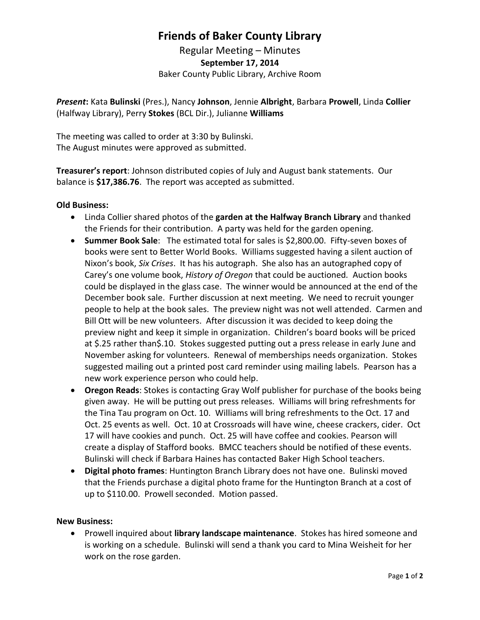## **Friends of Baker County Library**

Regular Meeting – Minutes **September 17, 2014** Baker County Public Library, Archive Room

*Present***:** Kata **Bulinski** (Pres.), Nancy **Johnson**, Jennie **Albright**, Barbara **Prowell**, Linda **Collier** (Halfway Library), Perry **Stokes** (BCL Dir.), Julianne **Williams**

The meeting was called to order at 3:30 by Bulinski. The August minutes were approved as submitted.

**Treasurer's report**: Johnson distributed copies of July and August bank statements. Our balance is **\$17,386.76**. The report was accepted as submitted.

### **Old Business:**

- Linda Collier shared photos of the **garden at the Halfway Branch Library** and thanked the Friends for their contribution. A party was held for the garden opening.
- **Summer Book Sale**: The estimated total for sales is \$2,800.00. Fifty-seven boxes of books were sent to Better World Books. Williams suggested having a silent auction of Nixon's book, *Six Crises*. It has his autograph. She also has an autographed copy of Carey's one volume book, *History of Oregon* that could be auctioned*.* Auction books could be displayed in the glass case. The winner would be announced at the end of the December book sale. Further discussion at next meeting. We need to recruit younger people to help at the book sales. The preview night was not well attended. Carmen and Bill Ott will be new volunteers. After discussion it was decided to keep doing the preview night and keep it simple in organization. Children's board books will be priced at \$.25 rather than\$.10. Stokes suggested putting out a press release in early June and November asking for volunteers. Renewal of memberships needs organization. Stokes suggested mailing out a printed post card reminder using mailing labels. Pearson has a new work experience person who could help.
- **Oregon Reads**: Stokes is contacting Gray Wolf publisher for purchase of the books being given away. He will be putting out press releases. Williams will bring refreshments for the Tina Tau program on Oct. 10. Williams will bring refreshments to the Oct. 17 and Oct. 25 events as well. Oct. 10 at Crossroads will have wine, cheese crackers, cider. Oct 17 will have cookies and punch. Oct. 25 will have coffee and cookies. Pearson will create a display of Stafford books. BMCC teachers should be notified of these events. Bulinski will check if Barbara Haines has contacted Baker High School teachers.
- **Digital photo frames**: Huntington Branch Library does not have one. Bulinski moved that the Friends purchase a digital photo frame for the Huntington Branch at a cost of up to \$110.00. Prowell seconded. Motion passed.

#### **New Business:**

 Prowell inquired about **library landscape maintenance**. Stokes has hired someone and is working on a schedule. Bulinski will send a thank you card to Mina Weisheit for her work on the rose garden.